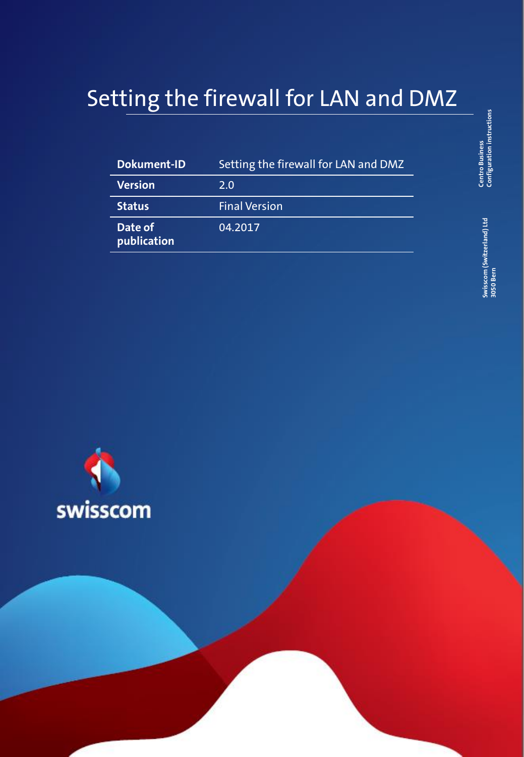# Setting the firewall for LAN and DMZ

| <b>Dokument-ID</b>     | Setting the firewall for LAN and DMZ |
|------------------------|--------------------------------------|
| <b>Version</b>         | 2.0                                  |
| <b>Status</b>          | <b>Final Version</b>                 |
| Date of<br>publication | 04.2017                              |



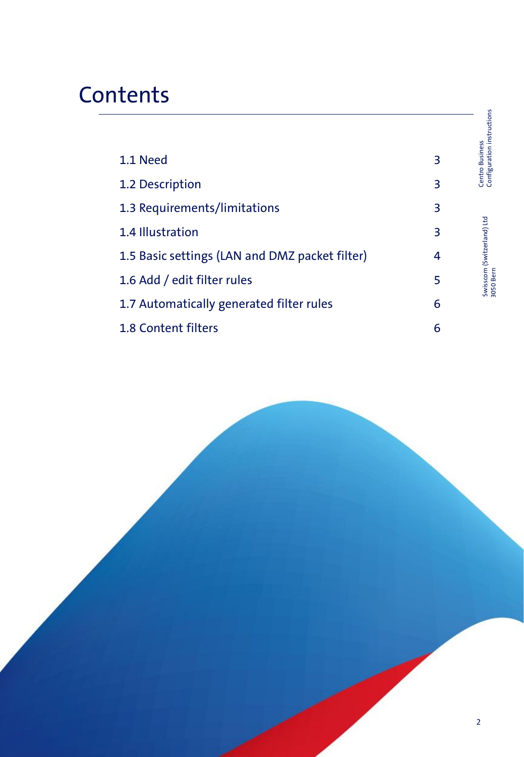# **Contents**

|                                                |   | Centro Business<br>Configuration instructions |
|------------------------------------------------|---|-----------------------------------------------|
| 1.1 Need                                       | 3 |                                               |
| 1.2 Description                                | 3 |                                               |
| 1.3 Requirements/limitations                   | 3 |                                               |
| 1.4 Illustration                               | 3 | Swisscom (Switzerland) Ltd<br>ansn Bern       |
| 1.5 Basic settings (LAN and DMZ packet filter) | 4 |                                               |
| 1.6 Add / edit filter rules                    | 5 |                                               |
| 1.7 Automatically generated filter rules       | 6 |                                               |
| 1.8 Content filters                            | 6 |                                               |



Swisscom (Switzerland) Ltd 3050 Bern

Swisscom (Switzerland) Ltd<br>3050 Bern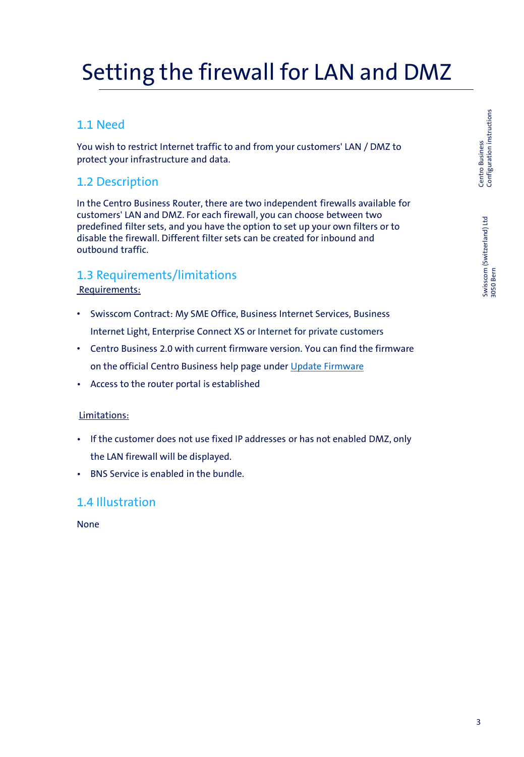# Setting the firewall for LAN and DMZ

## 1.1 Need

You wish to restrict Internet traffic to and from your customers' LAN / DMZ to protect your infrastructure and data.

### 1.2 Description

In the Centro Business Router, there are two independent firewalls available for customers' LAN and DMZ. For each firewall, you can choose between two predefined filter sets, and you have the option to set up your own filters or to disable the firewall. Different filter sets can be created for inbound and outbound traffic.

#### 1.3 Requirements/limitations Requirements:

- Swisscom Contract: My SME Office, Business Internet Services, Business Internet Light, Enterprise Connect XS or Internet for private customers
- Centro Business 2.0 with current firmware version. You can find the firmware on the official Centro Business help page under [Update Firmware](http://www.swisscom.ch/centrobusiness2-fw)
- Access to the router portal is established

#### Limitations:

- If the customer does not use fixed IP addresses or has not enabled DMZ, only the LAN firewall will be displayed.
- BNS Service is enabled in the bundle.

#### 1.4 Illustration

None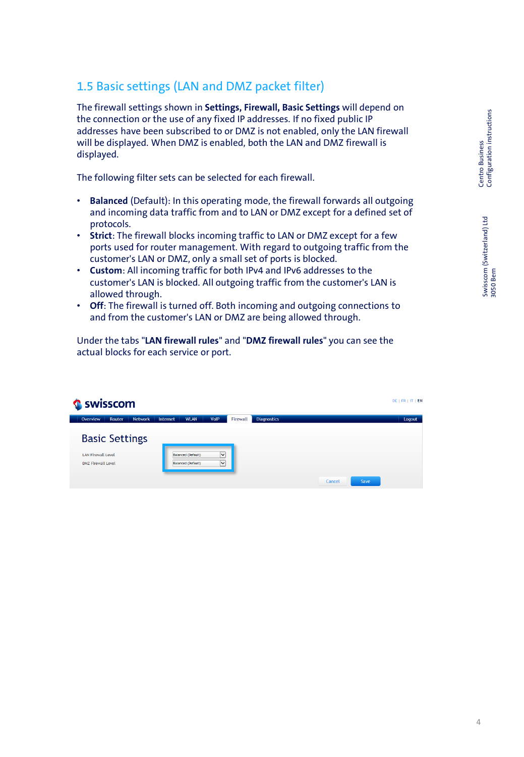Swisscom (Switzerland) Ltd 3050 Bern

Swisscom (Switzerland) Ltd<br>3050 Bern

# 1.5 Basic settings (LAN and DMZ packet filter)

The firewall settings shown in **Settings, Firewall, Basic Settings** will depend on the connection or the use of any fixed IP addresses. If no fixed public IP addresses have been subscribed to or DMZ is not enabled, only the LAN firewall will be displayed. When DMZ is enabled, both the LAN and DMZ firewall is displayed.

The following filter sets can be selected for each firewall.

- **Balanced** (Default): In this operating mode, the firewall forwards all outgoing and incoming data traffic from and to LAN or DMZ except for a defined set of protocols.
- **Strict**: The firewall blocks incoming traffic to LAN or DMZ except for a few ports used for router management. With regard to outgoing traffic from the customer's LAN or DMZ, only a small set of ports is blocked.
- **Custom**: All incoming traffic for both IPv4 and IPv6 addresses to the customer's LAN is blocked. All outgoing traffic from the customer's LAN is allowed through.
- **Off**: The firewall is turned off. Both incoming and outgoing connections to and from the customer's LAN or DMZ are being allowed through.

Under the tabs "**LAN firewall rules**" and "**DMZ firewall rules**" you can see the actual blocks for each service or port.

| Swisscom                                                                        |                                                 |                              |                                |        | $DE$   FR   IT   EN |  |
|---------------------------------------------------------------------------------|-------------------------------------------------|------------------------------|--------------------------------|--------|---------------------|--|
| <b>Network</b><br>Overview<br>Router                                            | Internet<br><b>WLAN</b>                         | <b>VoIP</b>                  | Firewall<br><b>Diagnostics</b> |        | Logout              |  |
| <b>Basic Settings</b><br><b>LAN Firewall Level</b><br><b>DMZ Firewall Level</b> | Balanced (Default)<br><b>Balanced (Default)</b> | $\checkmark$<br>$\checkmark$ |                                |        |                     |  |
|                                                                                 |                                                 |                              |                                | Cancel | Save                |  |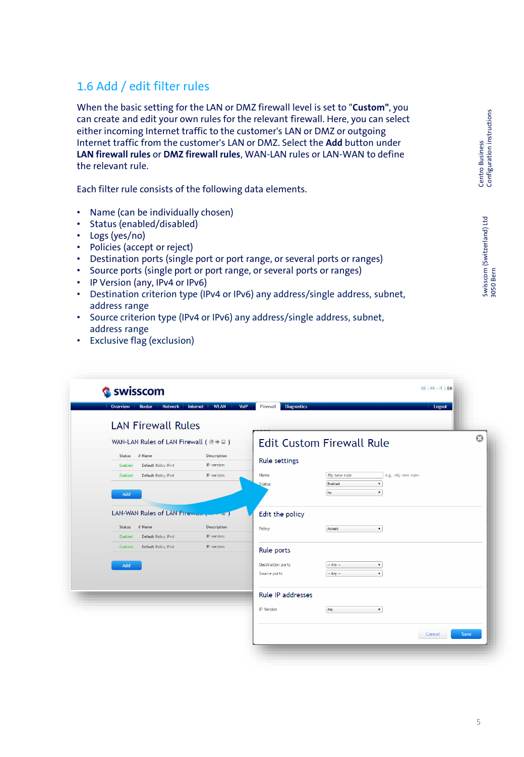# Centro Business<br>Configuration instructions Configuration instructions Centro Business

### 1.6 Add / edit filter rules

When the basic setting for the LAN or DMZ firewall level is set to "**Custom"**, you can create and edit your own rules for the relevant firewall. Here, you can select either incoming Internet traffic to the customer's LAN or DMZ or outgoing Internet traffic from the customer's LAN or DMZ. Select the **Add** button under **LAN firewall rules** or **DMZ firewall rules**, WAN-LAN rules or LAN-WAN to define the relevant rule.

Each filter rule consists of the following data elements.

- Name (can be individually chosen)
- Status (enabled/disabled)
- Logs (yes/no)
- Policies (accept or reject)
- Destination ports (single port or port range, or several ports or ranges)
- Source ports (single port or port range, or several ports or ranges)
- IP Version (any, IPv4 or IPv6)
- Destination criterion type (IPv4 or IPv6) any address/single address, subnet, address range
- Source criterion type (IPv4 or IPv6) any address/single address, subnet, address range
- Exclusive flag (exclusion)

| swisscom<br>Overview<br>Router<br>Network              | <b>WLAN</b><br>VoIP<br>Internet | Firewall<br><b>Diagnostics</b>                                  | Logout |
|--------------------------------------------------------|---------------------------------|-----------------------------------------------------------------|--------|
|                                                        |                                 |                                                                 |        |
| <b>LAN Firewall Rules</b>                              |                                 |                                                                 |        |
| WAN-LAN Rules of LAN Firewall ( $@ \Rightarrow \Box$ ) |                                 | <b>Edit Custom Firewall Rule</b>                                |        |
| # Name<br>Status                                       | Description                     |                                                                 |        |
| Default Policy IPv4<br>Enabled                         | IP version:                     | <b>Rule settings</b>                                            |        |
| Enabled<br>Default Policy IPv6                         | IP version:                     | My new rule<br>e.g. «My new rule»<br>Name                       |        |
|                                                        |                                 | Status<br>Enabled<br>$\pmb{\mathrm{v}}$                         |        |
| Add                                                    |                                 | No<br>$\pmb{\mathrm{v}}$                                        |        |
| LAN-WAN Rules of LAN Firewall                          | -20                             | Edit the policy                                                 |        |
|                                                        |                                 |                                                                 |        |
| $#$ Name<br>Status                                     | Description<br>IP version:      | Policy<br>Accept<br>and the state of the state of the           |        |
| Default Policy IPv4<br>Enabled                         |                                 |                                                                 |        |
|                                                        |                                 |                                                                 |        |
| Default Policy IPv6<br>Enabled                         | IP version:                     | Rule ports                                                      |        |
|                                                        |                                 |                                                                 |        |
| Add                                                    |                                 | <b>Destination ports</b><br>$-$ Any $-$<br>٠,                   |        |
|                                                        |                                 | Source ports<br>$-$ Any $-$<br>$\pmb{\mathrm{v}}$               |        |
|                                                        |                                 | <b>Rule IP addresses</b>                                        |        |
|                                                        |                                 | <b>IP</b> Version<br>Any<br>the contract of the contract of the |        |
|                                                        |                                 |                                                                 |        |